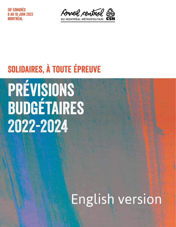38e Congrès 10 JUIN 2022 Montréal



### Solidaires, à toute épreuve

# Prévisions budgétaires 2022-2024

## English version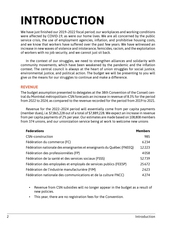### **INTRODUCTION**

We have just finished our 2019–2022 fiscal period; our workplaces and working conditions were affected by COVID-19, as were our home lives. We are all concerned by the public service crisis, the use of employment agencies, inflation, and prohibitive housing costs, and we know that workers have suffered over the past few years. We have witnessed an increase in new waves of violence and intolerance, femicides, racism, and the exploitation of workers with no job security, and we cannot just sit back.

In the context of our struggles, we need to strengthen alliances and solidarity with community movements, which have been weakened by the pandemic and the inflation context. The central council is always at the heart of union struggles for social justice, environmental justice, and political action. The budget we will be presenting to you will give us the means for our struggles to continue and make a difference.

#### **REVENUE**

The budget assumption presented to delegates at the 38th Convention of the Conseil central du Montréal métropolitain–CSN forecasts an increase in revenue of 8.3% for the period from 2022 to 2024, as compared to the revenue recorded for the period from 2019 to 2021.

Revenue for the 2022–2024 period will essentially come from per capita payments (member dues), i.e. \$7,865,228 out of a total of \$7,889,228. We expect an increase in revenue from per capita payments of 2% per year. Our estimates are made based on 108,808 members from 374 unions, and our unionization service being at work to welcome new unions

| <b>Federations</b>                                                     | <b>Members</b> |
|------------------------------------------------------------------------|----------------|
| CSN-construction                                                       | 985            |
| Fédération du commerce (FC)                                            | 6234           |
| Fédération nationale des enseignantes et enseignants du Québec (FNEEQ) | 12223          |
| Fédération des professionnèles (FP)                                    | 4058           |
| Fédération de la santé et des services sociaux (FSSS)                  | 52739          |
| Fédération des employées et employés de services publics (FEESP)       | 25672          |
| Fédération de l'industrie manufacturière (FIM)                         | 2623           |
| Fédération nationale des communications et de la culture FNCC)         | 4274           |

- Revenue from CSN subsidies will no longer appear in the budget as a result of new policies.
- This year, there are no registration fees for the Convention.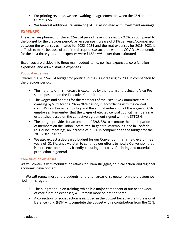- For printing revenue, we are awaiting an agreement between the CSN and the CCMM–CSN.
- We forecast additional revenue of \$24,000 associated with investment earnings.

#### **EXPENSES**

The expenses planned for the 2022–2024 period have increased by 9.6%, as compared to the budget for the previous period, i.e. an average increase of 3.1% per year. A comparison between the expenses estimated for 2022–2024 and the real expenses for 2019–2021 is difficult to make because of all of the disruptions associated with the COVID-19 pandemic: for the past three years, our expenses were \$1,536,998 lower than estimated.

Expenses are divided into three main budget items: political expenses, core function expenses, and administrative expenses.

#### **Political expenses**

Overall, the 2022–2024 budget for political duties is increasing by 20% in comparison to the previous period.

- The majority of this increase is explained by the return of the Second Vice-President position on the Executive Committee.
- The wages and benefits for the members of the Executive Committee are increasing by 9.9% for the 2022–2024 period, in accordance with the central council's reimbursement policy and the annual indexation of the wages of CSN employees. Remember that the wages of elected central council members are established based on the collective agreement signed with the STTCSN.
- The budget provides for an amount of \$268,228 to promote the participation of members on the Union Committee, in general assemblies, and in Confederal Council meetings, an increase of 21.9% in comparison to the budget for the 2019–2021 period.
- We also expect a decreased budget for our Convention that is held every three years of -31.2%, since we plan to continue our efforts to hold a Convention that is more environmentally friendly, reducing the costs of printing and material production in general.

#### **Core function expenses**

We will continue with mobilization efforts for union struggles, political action, and regional economic development.

We will renew most of the budgets for the ten areas of struggle from the previous period in this regard.

- The budget for union training, which is a major component of our action (49% of core function expenses) will remain more or less the same.
- A correction for social action is included in the budget because the Professional Defence Fund (FDP) will complete the budget with a contribution from the CSN.